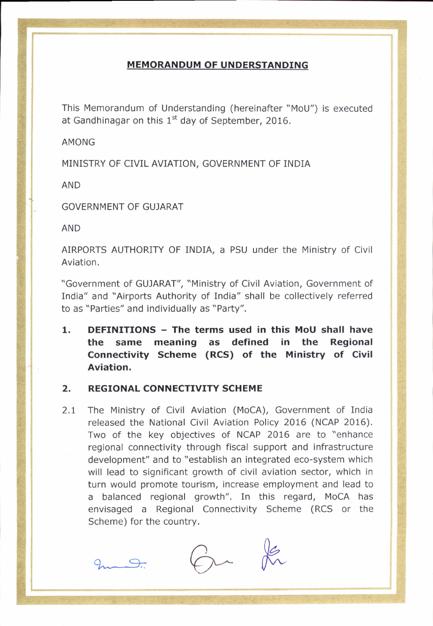## **MEMORANDUM OF UNDERSTANDING**

This Memorandum of Understanding (hereinafter "MoU") is executed at Gandhinagar on this  $1<sup>st</sup>$  day of September, 2016.

AMONG

MINISTRY OF CIVIL AVIATION. GOVERNMENT OF INDIA

AND

GOVERNMENT OF GUJARAT

AND

AIRPORTS AUTHORITY OF INDIA, a PSU under the Ministry of Civil Aviation.

"Government of GUJARAT", "Ministry of Civil Aviation, Government of India" and "Airports Authority of India" shall be collectively referred to as "Parties" and individually as "Party".

1. DEFINITIONS - The terms used in this MoU shall have the same meaning as defined in the Regional Connectivity Scheme (RCS) of the Ministry of Civil Aviation.

## 2. REGIONAL CONNECTIVITY SCHEME

2.I The Ministry of Civil Aviation (MoCA), Government of India released the National Civil Aviation Policy 2016 (NCAP 2016). Two of the key objectives of NCAP 2016 are to "enhance regional connectivity through fiscal support and infrastructure development" and to "establish an integrated eco-system which will lead to significant growth of civil aviation sector, which in turn would promote tourism, increase employment and lead to a balanced regional growth". In this regard, MoCA has envisaged a Regional Connectivity Scheme (RCS or the Scheme) for the country.